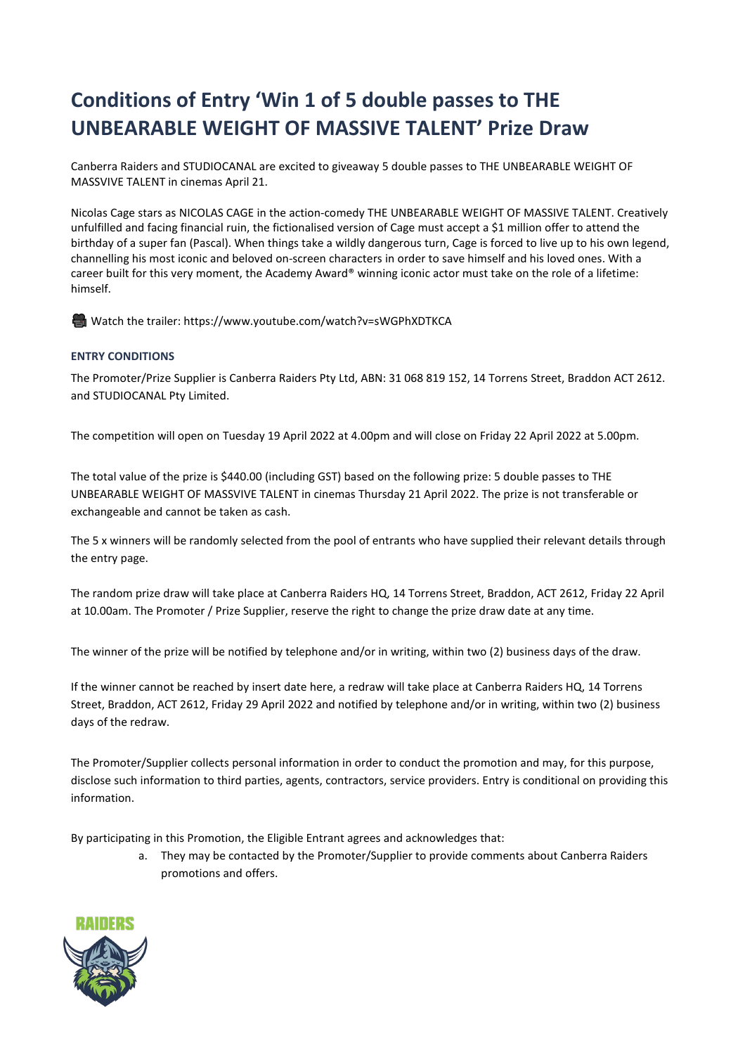## **Conditions of Entry 'Win 1 of 5 double passes to THE UNBEARABLE WEIGHT OF MASSIVE TALENT' Prize Draw**

Canberra Raiders and STUDIOCANAL are excited to giveaway 5 double passes to THE UNBEARABLE WEIGHT OF MASSVIVE TALENT in cinemas April 21.

Nicolas Cage stars as NICOLAS CAGE in the action-comedy THE UNBEARABLE WEIGHT OF MASSIVE TALENT. Creatively unfulfilled and facing financial ruin, the fictionalised version of Cage must accept a \$1 million offer to attend the birthday of a super fan (Pascal). When things take a wildly dangerous turn, Cage is forced to live up to his own legend, channelling his most iconic and beloved on-screen characters in order to save himself and his loved ones. With a career built for this very moment, the Academy Award® winning iconic actor must take on the role of a lifetime: himself.

������ Watch the trailer: [https://www.youtube.com/watch?v=sWGPhXDTKCA](https://us-east-2.protection.sophos.com/?d=outlook.com&u=aHR0cHM6Ly9ldXIwMi5zYWZlbGlua3MucHJvdGVjdGlvbi5vdXRsb29rLmNvbS8_dXJsPWh0dHBzJTNBJTJGJTJGdXMtZWFzdC0yLnByb3RlY3Rpb24uc29waG9zLmNvbSUyRiUzRmQlM0RvdXRsb29rLmNvbSUyNnUlM0RhSFIwY0hNNkx5OWxkWEl3TWk1ellXWmxiR2x1YTNNdWNISnZkR1ZqZEdsdmJpNXZkWFJzYjI5ckxtTnZiUzhfZFhKc1BXaDBkSEJ6SlROQkpUSkdKVEpHZFhNdFpXRnpkQzB5TG5CeWIzUmxZM1JwYjI0dWMyOXdhRzl6TG1OdmJTVXlSaVV6Um1RbE0wUnZkWFJzYjI5ckxtTnZiU1V5Tm5VbE0wUmhTRkl3WTBoTk5reDVPV3hrV0VsM1RXazFlbGxYV214aVIyeDFZVE5OZFdOSVNuWmtSMVpxWkVkc2RtSnBOWFprV0ZKellqSTVja3h0VG5aaVV6aGZaRmhLYzFCWGFEQmtTRUo2U2xST1FrcFVTa2RLVkVwSFpETmtNMHh1Ykhaa1dGSXhXVzFWZFZreU9YUktWRXBIWkRKR01Ga3laMnhOTUZveVNsUk9SV014WkVoVlIyaFpVa1pTVEZFd1JXMWFSMFl3V1ZRd2QwNURWVE5SZWtGNFNsUmtSRk5IUm5wYVYxWjFXVk0xV2xGV1RrWlNWVFJzVGtSQ2VtUklWbXRoVnpscVdWYzFhR0pETldwaU1qQnNUakJPYlU1RWFHdE9lazE0V2tSVk1VMUhUVEJPZWtrelRVZEZkMDE2UVRSYVIwVjNXVlJSZVUxdFZUUk5hVlV6VVRKS2JVNVhUVEZhUjFWNFRtMUZNVTVFVVhkUFZFWm9UbnBLYlU5VVFteE5la2swVFVSRk1rMXFhR3BLVkdSRVRVTlZNMUY2UVd4T01FMHlUWHBqTkUxNlRURk9lbGt5VFhwTk1VMTZTVE5PVkVsc1RqQk9WbUp0ZEhWaU0yUjFTbFJrUkZaR1pFZGpSMHBJVjI1T2FVMHlVVFJhV0d4TFZqQnNjV0l5YkU1UmVsSXpWRWR3UW1Rd01VVlJWMnhOVVRCd1VsTlhjSFpoVmxsNVlraFdUbVZyYkhCVVJVNUxVV3hTY0ZOVVdrcGhla1p2V1Zaa00yRlZlRVJUYkdoWFVUQnJNbFJYTkhkS1ZFNUZTbFJrUkUxNlFYZE5RMXA2V2tkR01GbFVNVE5LVkVwSFVteHNVV0l5V2xoVWEzQnVaVWRLTlZJelRXeE5hMWw2WWtWR05WTXhRbFZUU0ZaT1pHeGFlRTFWV20xamJWcElZMGRrYVZadFNuVlplVlY2VWtOYWVWcFlUbXhqYmxwc1drUXdkeVV5Tm1rbE0wUk9ha1V4VGtSQk1sbHFTbWhhVkZVMVRtMUZkMXBVVm10UFIxVjNUbXBWTkNVeU5uUWxNMFJpVlRVMFV6QkpkbFZ1YTNkTmJYQmFZMWMxVGxZeGFFZFZiVlpXVlRGbk1tTnRiRnBoVlZJeVN6QmpkMWR0TURWVE0xcDBWMmwwWVdSNk1DVXpSQ1V5Tm1nbE0wUTBaVEF4TW1JMU1EQmtOMlUwTURCbFlUY3lZemMyT1ROalpEWmxPVE5qWWlaa1lYUmhQVEEwSlRkRE1ERWxOME5vWVhObFpXNWhMbmxoYzJWbGJpVTBNSE4wZFdScGIyTmhibUZzTG1OdmJTVTNRMkpoT1RKaE1qTTBNR1ZoTWpSaVpEVmlaRGc0TURoa1lURmtNR00zTURSakpUZERZbVkxWXpWa1pURTJZVFUwTkRBNU1XRTNNbVk1TUdVek1qZ3dNVFl5T0dNbE4wTXdKVGRETUNVM1F6WXpOemcxTkRJek5qVXpNREV4TURBM05DVTNRMVZ1YTI1dmQyNGxOME5VVjBad1lrZGFjMkl6WkRobGVVcFhTV3B2YVUxRE5IZE1ha0YzVFVSQmFVeERTbEZKYW05cFZqSnNkVTE2U1dsTVEwcENWR2x)

## **ENTRY CONDITIONS**

The Promoter/Prize Supplier is Canberra Raiders Pty Ltd, ABN: 31 068 819 152, 14 Torrens Street, Braddon ACT 2612. and STUDIOCANAL Pty Limited.

The competition will open on Tuesday 19 April 2022 at 4.00pm and will close on Friday 22 April 2022 at 5.00pm.

The total value of the prize is \$440.00 (including GST) based on the following prize: 5 double passes to THE UNBEARABLE WEIGHT OF MASSVIVE TALENT in cinemas Thursday 21 April 2022. The prize is not transferable or exchangeable and cannot be taken as cash.

The 5 x winners will be randomly selected from the pool of entrants who have supplied their relevant details through the entry page.

The random prize draw will take place at Canberra Raiders HQ, 14 Torrens Street, Braddon, ACT 2612, Friday 22 April at 10.00am. The Promoter / Prize Supplier, reserve the right to change the prize draw date at any time.

The winner of the prize will be notified by telephone and/or in writing, within two (2) business days of the draw.

If the winner cannot be reached by insert date here, a redraw will take place at Canberra Raiders HQ, 14 Torrens Street, Braddon, ACT 2612, Friday 29 April 2022 and notified by telephone and/or in writing, within two (2) business days of the redraw.

The Promoter/Supplier collects personal information in order to conduct the promotion and may, for this purpose, disclose such information to third parties, agents, contractors, service providers. Entry is conditional on providing this information.

By participating in this Promotion, the Eligible Entrant agrees and acknowledges that:

a. They may be contacted by the Promoter/Supplier to provide comments about Canberra Raiders promotions and offers.